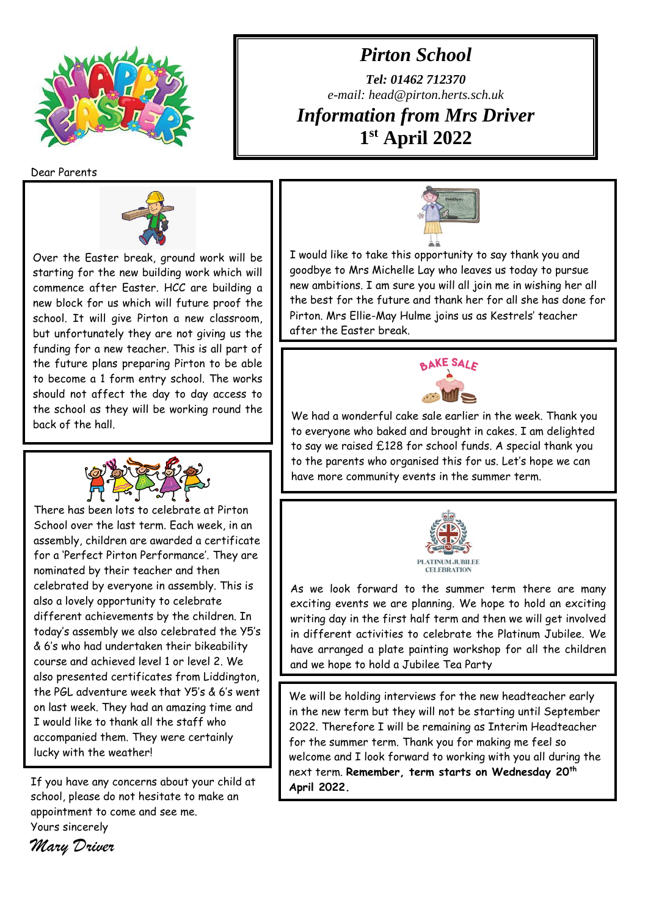

*Pirton School*

*Tel: 01462 712370 e-mail: head@pirton.herts.sch.uk Information from Mrs Driver* **1 st April 2022**

Dear Parents



Over the Easter break, ground work will be starting for the new building work which will commence after Easter. HCC are building a new block for us which will future proof the school. It will give Pirton a new classroom, but unfortunately they are not giving us the funding for a new teacher. This is all part of the future plans preparing Pirton to be able to become a 1 form entry school. The works should not affect the day to day access to the school as they will be working round the back of the hall.



There has been lots to celebrate at Pirton School over the last term. Each week, in an assembly, children are awarded a certificate for a 'Perfect Pirton Performance'. They are nominated by their teacher and then celebrated by everyone in assembly. This is also a lovely opportunity to celebrate different achievements by the children. In today's assembly we also celebrated the Y5's & 6's who had undertaken their bikeability course and achieved level 1 or level 2. We also presented certificates from Liddington, the PGL adventure week that Y5's & 6's went on last week. They had an amazing time and I would like to thank all the staff who accompanied them. They were certainly lucky with the weather!

If you have any concerns about your child at school, please do not hesitate to make an appointment to come and see me. Yours sincerely *Mary Driver*



I would like to take this opportunity to say thank you and goodbye to Mrs Michelle Lay who leaves us today to pursue new ambitions. I am sure you will all join me in wishing her all the best for the future and thank her for all she has done for Pirton. Mrs Ellie-May Hulme joins us as Kestrels' teacher after the Easter break.



We had a wonderful cake sale earlier in the week. Thank you to everyone who baked and brought in cakes. I am delighted to say we raised £128 for school funds. A special thank you to the parents who organised this for us. Let's hope we can have more community events in the summer term.



As we look forward to the summer term there are many exciting events we are planning. We hope to hold an exciting writing day in the first half term and then we will get involved in different activities to celebrate the Platinum Jubilee. We have arranged a plate painting workshop for all the children and we hope to hold a Jubilee Tea Party

We will be holding interviews for the new headteacher early in the new term but they will not be starting until September 2022. Therefore I will be remaining as Interim Headteacher for the summer term. Thank you for making me feel so welcome and I look forward to working with you all during the next term. **Remember, term starts on Wednesday 20th April 2022.**